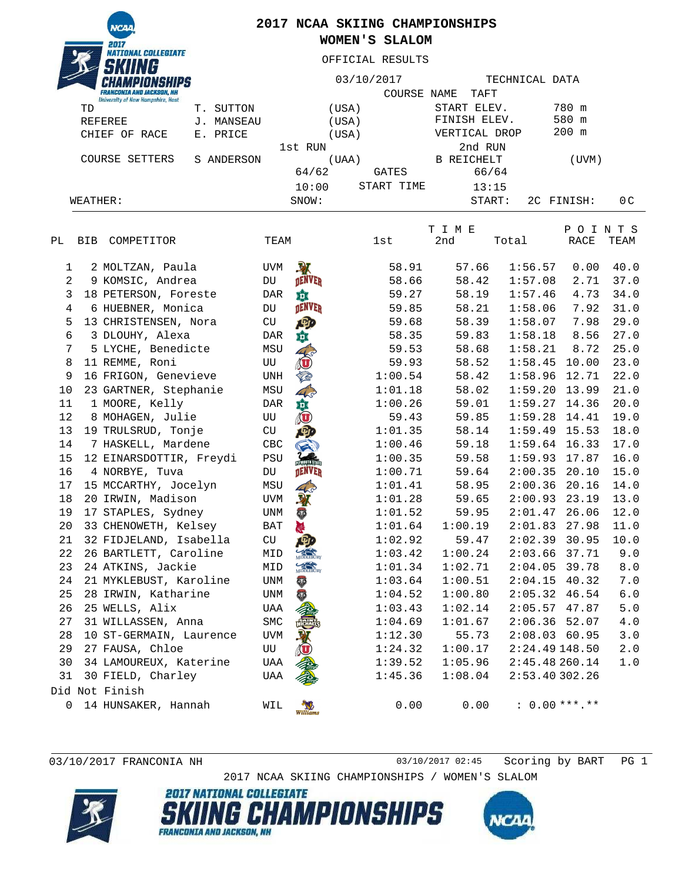**NCZ** NATIONAL COLLEGIATE

## **2017 NCAA SKIING CHAMPIONSHIPS WOMEN'S SLALOM**

OFFICIAL RESULTS

|                |                              |                                                                              |            |       | 03/10/2017    |       |                                           |                | TECHNICAL DATA |         |                  |                  |  |
|----------------|------------------------------|------------------------------------------------------------------------------|------------|-------|---------------|-------|-------------------------------------------|----------------|----------------|---------|------------------|------------------|--|
|                |                              | <b>FRANCONIA AND JACKSON, NH</b><br><b>University of New Hampshire, Hast</b> |            |       |               |       | <b>COURSE NAME</b>                        |                | TAFT           |         |                  |                  |  |
|                | TD                           |                                                                              | T. SUTTON  |       |               | (USA) |                                           |                | START ELEV.    |         | 780 m            |                  |  |
|                |                              | REFEREE                                                                      | J. MANSEAU |       |               | (USA) |                                           |                | FINISH ELEV.   |         | 580 m            |                  |  |
| CHIEF OF RACE  |                              | E. PRICE                                                                     |            |       | (USA)         |       | VERTICAL DROP                             |                |                | $200$ m |                  |                  |  |
|                |                              |                                                                              |            |       | 1st RUN       |       |                                           |                | 2nd RUN        |         |                  |                  |  |
|                | COURSE SETTERS<br>S ANDERSON |                                                                              |            | (UAA) |               |       | B REICHELT                                |                |                | (UVM)   |                  |                  |  |
|                |                              |                                                                              |            |       | 64/62         |       | GATES                                     |                | 66/64          |         |                  |                  |  |
|                |                              |                                                                              |            |       | 10:00         |       | START TIME                                |                | 13:15          |         |                  |                  |  |
|                | WEATHER:                     |                                                                              |            |       | SNOW:         |       |                                           |                | START:         |         | 2C FINISH:       | 0 <sup>C</sup>   |  |
| РL             | <b>BIB</b>                   | COMPETITOR                                                                   |            | TEAM  |               |       | 1st                                       | T I M E<br>2nd | Total          |         | P<br>O I<br>RACE | T S<br>N<br>TEAM |  |
| 1              |                              | 2 MOLTZAN, Paula                                                             |            | UVM   | 入             |       | 58.91                                     |                | 57.66          | 1:56.57 | 0.00             | 40.0             |  |
| $\overline{2}$ |                              | 9 KOMSIC, Andrea                                                             |            | DU    | <b>DENVER</b> |       | 58.66                                     |                | 58.42          | 1:57.08 | 2.71             | 37.0             |  |
| 3              |                              | 18 PETERSON, Foreste                                                         |            | DAR   | 尊             |       | 59.27                                     |                | 58.19          | 1:57.46 | 4.73             | 34.0             |  |
| 4              |                              | 6 HUEBNER, Monica                                                            |            | DU    | <b>DENVER</b> |       | 59.85                                     |                | 58.21          | 1:58.06 | 7.92             | 31.0             |  |
| 5              |                              | 13 CHRISTENSEN, Nora                                                         |            | CU    | 吵             |       | 59.68                                     |                | 58.39          | 1:58.07 | 7.98             | 29.0             |  |
| 6              |                              | 3 DLOUHY, Alexa                                                              |            | DAR   | 尊             |       | 58.35                                     |                | 59.83          | 1:58.18 | 8.56             | 27.0             |  |
| 7              |                              | 5 LYCHE, Benedicte                                                           |            | MSU   |               |       | 59.53                                     |                | 58.68          | 1:58.21 | 8.72             | 25.0             |  |
| 8              |                              | 11 REMME, Roni                                                               |            | UU    |               |       | 59.93                                     |                | 58.52          | 1:58.45 | 10.00            | 23.0             |  |
|                |                              |                                                                              |            |       |               |       | $\sim$ $\sim$ $\sim$ $\sim$ $\sim$ $\sim$ |                |                |         |                  |                  |  |

| 1              | 2 MOLTZAN, Paula        | <b>UVM</b>  | $\mathbf{N}$   | 58.91   | 57.66   | 1:56.57         | 0.00  | 40.0  |
|----------------|-------------------------|-------------|----------------|---------|---------|-----------------|-------|-------|
| $\overline{a}$ | 9 KOMSIC, Andrea        | DU          | <b>DENVER</b>  | 58.66   | 58.42   | 1:57.08         | 2.71  | 37.0  |
| 3              | 18 PETERSON, Foreste    | DAR         | 垚              | 59.27   | 58.19   | 1:57.46         | 4.73  | 34.0  |
| $\overline{4}$ | 6 HUEBNER, Monica       | DU          | <b>DENVER</b>  | 59.85   | 58.21   | 1:58.06         | 7.92  | 31.0  |
| 5              | 13 CHRISTENSEN, Nora    | CU          | <b>ABD</b>     | 59.68   | 58.39   | 1:58.07         | 7.98  | 29.0  |
| 6              | 3 DLOUHY, Alexa         | DAR         | 韯              | 58.35   | 59.83   | 1:58.18         | 8.56  | 27.0  |
| 7              | 5 LYCHE, Benedicte      | MSU         |                | 59.53   | 58.68   | 1:58.21         | 8.72  | 25.0  |
| 8              | 11 REMME, Roni          | UU          |                | 59.93   | 58.52   | 1:58.45         | 10.00 | 23.0  |
| 9              | 16 FRIGON, Genevieve    | UNH         |                | 1:00.54 | 58.42   | 1:58.96         | 12.71 | 22.0  |
| 10             | 23 GARTNER, Stephanie   | MSU         |                | 1:01.18 | 58.02   | $1:59.20$ 13.99 |       | 21.0  |
| 11             | 1 MOORE, Kelly          | DAR         | 葛通             | 1:00.26 | 59.01   | $1:59.27$ 14.36 |       | 20.0  |
| 12             | 8 MOHAGEN, Julie        | UU          |                | 59.43   | 59.85   | 1:59.28         | 14.41 | 19.0  |
| 13             | 19 TRULSRUD, Tonje      | CU          |                | 1:01.35 | 58.14   | $1:59.49$ 15.53 |       | 18.0  |
| 14             | 7 HASKELL, Mardene      | CBC         |                | 1:00.46 | 59.18   | 1:59.64         | 16.33 | 17.0  |
| 15             | 12 EINARSDOTTIR, Freydi | PSU         |                | 1:00.35 | 59.58   | 1:59.93         | 17.87 | 16.0  |
| 16             | 4 NORBYE, Tuva          | DU          | <b>TENVER</b>  | 1:00.71 | 59.64   | 2:00.35         | 20.10 | 15.0  |
| 17             | 15 MCCARTHY, Jocelyn    | MSU         |                | 1:01.41 | 58.95   | 2:00.36         | 20.16 | 14.0  |
| 18             | 20 IRWIN, Madison       | UVM         | 取              | 1:01.28 | 59.65   | 2:00.93         | 23.19 | 13.0  |
| 19             | 17 STAPLES, Sydney      | <b>UNM</b>  | $\ddot{\circ}$ | 1:01.52 | 59.95   | 2:01.47         | 26.06 | 12.0  |
| 20             | 33 CHENOWETH, Kelsey    | BAT         | H              | 1:01.64 | 1:00.19 | 2:01.83         | 27.98 | 11.0  |
| 21             | 32 FIDJELAND, Isabella  | CU          |                | 1:02.92 | 59.47   | $2:02.39$ 30.95 |       | 10.0  |
| 22             | 26 BARTLETT, Caroline   | MID         |                | 1:03.42 | 1:00.24 | 2:03.66         | 37.71 | 9.0   |
| 23             | 24 ATKINS, Jackie       | MID         |                | 1:01.34 | 1:02.71 | 2:04.05         | 39.78 | $8.0$ |
| 24             | 21 MYKLEBUST, Karoline  | <b>UNM</b>  | 53             | 1:03.64 | 1:00.51 | 2:04.15         | 40.32 | 7.0   |
| 25             | 28 IRWIN, Katharine     | <b>UNM</b>  | $\overline{a}$ | 1:04.52 | 1:00.80 | $2:05.32$ 46.54 |       | 6.0   |
| 26             | 25 WELLS, Alix          | UAA         |                | 1:03.43 | 1:02.14 | 2:05.57         | 47.87 | 5.0   |
| 27             | 31 WILLASSEN, Anna      | ${\tt SMC}$ |                | 1:04.69 | 1:01.67 | 2:06.36         | 52.07 | 4.0   |
| 28             | 10 ST-GERMAIN, Laurence | <b>UVM</b>  |                | 1:12.30 | 55.73   | $2:08.03$ 60.95 |       | 3.0   |
| 29             | 27 FAUSA, Chloe         | UU          |                | 1:24.32 | 1:00.17 | 2:24.49 148.50  |       | 2.0   |
| 30             | 34 LAMOUREUX, Katerine  | UAA         |                | 1:39.52 | 1:05.96 | 2:45.48 260.14  |       | 1.0   |
| 31             | 30 FIELD, Charley       | UAA         |                | 1:45.36 | 1:08.04 | 2:53.40302.26   |       |       |
|                | Did Not Finish          |             |                |         |         |                 |       |       |
| $\mathbf 0$    | 14 HUNSAKER, Hannah     | WIL         | Williams       | 0.00    | 0.00    | $: 0.00***.**$  |       |       |

03/10/2017 FRANCONIA NH 03/10/2017 02:45 Scoring by BART PG 1

2017 NCAA SKIING CHAMPIONSHIPS / WOMEN'S SLALOM